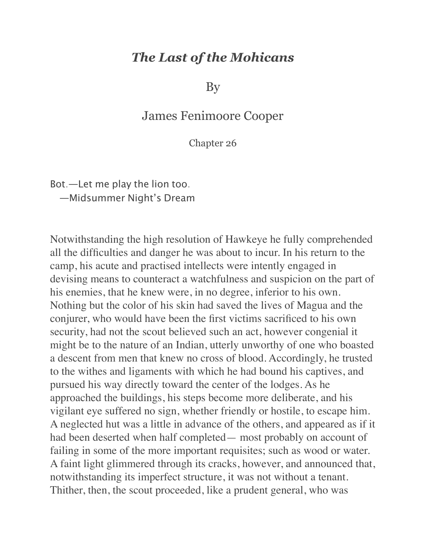## *The Last of the Mohicans*

By

## James Fenimoore Cooper

Chapter 26

Bot.—Let me play the lion too. —Midsummer Night's Dream

Notwithstanding the high resolution of Hawkeye he fully comprehended all the difficulties and danger he was about to incur. In his return to the camp, his acute and practised intellects were intently engaged in devising means to counteract a watchfulness and suspicion on the part of his enemies, that he knew were, in no degree, inferior to his own. Nothing but the color of his skin had saved the lives of Magua and the conjurer, who would have been the first victims sacrificed to his own security, had not the scout believed such an act, however congenial it might be to the nature of an Indian, utterly unworthy of one who boasted a descent from men that knew no cross of blood. Accordingly, he trusted to the withes and ligaments with which he had bound his captives, and pursued his way directly toward the center of the lodges. As he approached the buildings, his steps become more deliberate, and his vigilant eye suffered no sign, whether friendly or hostile, to escape him. A neglected hut was a little in advance of the others, and appeared as if it had been deserted when half completed— most probably on account of failing in some of the more important requisites; such as wood or water. A faint light glimmered through its cracks, however, and announced that, notwithstanding its imperfect structure, it was not without a tenant. Thither, then, the scout proceeded, like a prudent general, who was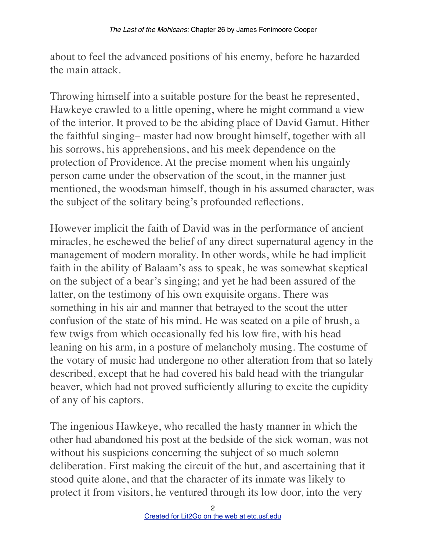about to feel the advanced positions of his enemy, before he hazarded the main attack.

Throwing himself into a suitable posture for the beast he represented, Hawkeye crawled to a little opening, where he might command a view of the interior. It proved to be the abiding place of David Gamut. Hither the faithful singing– master had now brought himself, together with all his sorrows, his apprehensions, and his meek dependence on the protection of Providence. At the precise moment when his ungainly person came under the observation of the scout, in the manner just mentioned, the woodsman himself, though in his assumed character, was the subject of the solitary being's profounded reflections.

However implicit the faith of David was in the performance of ancient miracles, he eschewed the belief of any direct supernatural agency in the management of modern morality. In other words, while he had implicit faith in the ability of Balaam's ass to speak, he was somewhat skeptical on the subject of a bear's singing; and yet he had been assured of the latter, on the testimony of his own exquisite organs. There was something in his air and manner that betrayed to the scout the utter confusion of the state of his mind. He was seated on a pile of brush, a few twigs from which occasionally fed his low fire, with his head leaning on his arm, in a posture of melancholy musing. The costume of the votary of music had undergone no other alteration from that so lately described, except that he had covered his bald head with the triangular beaver, which had not proved sufficiently alluring to excite the cupidity of any of his captors.

The ingenious Hawkeye, who recalled the hasty manner in which the other had abandoned his post at the bedside of the sick woman, was not without his suspicions concerning the subject of so much solemn deliberation. First making the circuit of the hut, and ascertaining that it stood quite alone, and that the character of its inmate was likely to protect it from visitors, he ventured through its low door, into the very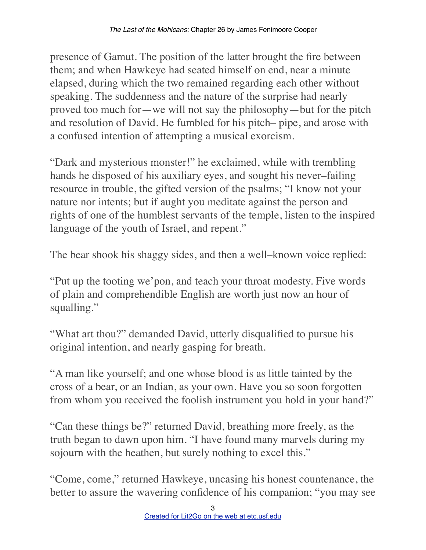presence of Gamut. The position of the latter brought the fire between them; and when Hawkeye had seated himself on end, near a minute elapsed, during which the two remained regarding each other without speaking. The suddenness and the nature of the surprise had nearly proved too much for—we will not say the philosophy—but for the pitch and resolution of David. He fumbled for his pitch– pipe, and arose with a confused intention of attempting a musical exorcism.

"Dark and mysterious monster!" he exclaimed, while with trembling hands he disposed of his auxiliary eyes, and sought his never–failing resource in trouble, the gifted version of the psalms; "I know not your nature nor intents; but if aught you meditate against the person and rights of one of the humblest servants of the temple, listen to the inspired language of the youth of Israel, and repent."

The bear shook his shaggy sides, and then a well–known voice replied:

"Put up the tooting we'pon, and teach your throat modesty. Five words of plain and comprehendible English are worth just now an hour of squalling."

"What art thou?" demanded David, utterly disqualified to pursue his original intention, and nearly gasping for breath.

"A man like yourself; and one whose blood is as little tainted by the cross of a bear, or an Indian, as your own. Have you so soon forgotten from whom you received the foolish instrument you hold in your hand?"

"Can these things be?" returned David, breathing more freely, as the truth began to dawn upon him. "I have found many marvels during my sojourn with the heathen, but surely nothing to excel this."

"Come, come," returned Hawkeye, uncasing his honest countenance, the better to assure the wavering confidence of his companion; "you may see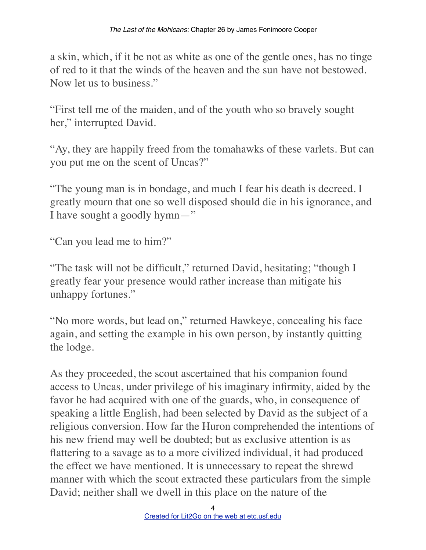a skin, which, if it be not as white as one of the gentle ones, has no tinge of red to it that the winds of the heaven and the sun have not bestowed. Now let us to business."

"First tell me of the maiden, and of the youth who so bravely sought her," interrupted David.

"Ay, they are happily freed from the tomahawks of these varlets. But can you put me on the scent of Uncas?"

"The young man is in bondage, and much I fear his death is decreed. I greatly mourn that one so well disposed should die in his ignorance, and I have sought a goodly hymn—"

"Can you lead me to him?"

"The task will not be difficult," returned David, hesitating; "though I greatly fear your presence would rather increase than mitigate his unhappy fortunes."

"No more words, but lead on," returned Hawkeye, concealing his face again, and setting the example in his own person, by instantly quitting the lodge.

As they proceeded, the scout ascertained that his companion found access to Uncas, under privilege of his imaginary infirmity, aided by the favor he had acquired with one of the guards, who, in consequence of speaking a little English, had been selected by David as the subject of a religious conversion. How far the Huron comprehended the intentions of his new friend may well be doubted; but as exclusive attention is as flattering to a savage as to a more civilized individual, it had produced the effect we have mentioned. It is unnecessary to repeat the shrewd manner with which the scout extracted these particulars from the simple David; neither shall we dwell in this place on the nature of the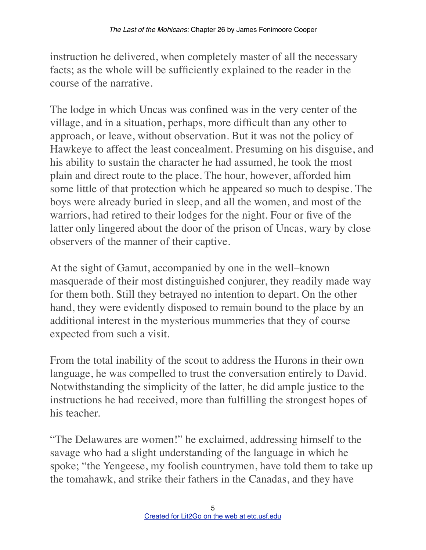instruction he delivered, when completely master of all the necessary facts; as the whole will be sufficiently explained to the reader in the course of the narrative.

The lodge in which Uncas was confined was in the very center of the village, and in a situation, perhaps, more difficult than any other to approach, or leave, without observation. But it was not the policy of Hawkeye to affect the least concealment. Presuming on his disguise, and his ability to sustain the character he had assumed, he took the most plain and direct route to the place. The hour, however, afforded him some little of that protection which he appeared so much to despise. The boys were already buried in sleep, and all the women, and most of the warriors, had retired to their lodges for the night. Four or five of the latter only lingered about the door of the prison of Uncas, wary by close observers of the manner of their captive.

At the sight of Gamut, accompanied by one in the well–known masquerade of their most distinguished conjurer, they readily made way for them both. Still they betrayed no intention to depart. On the other hand, they were evidently disposed to remain bound to the place by an additional interest in the mysterious mummeries that they of course expected from such a visit.

From the total inability of the scout to address the Hurons in their own language, he was compelled to trust the conversation entirely to David. Notwithstanding the simplicity of the latter, he did ample justice to the instructions he had received, more than fulfilling the strongest hopes of his teacher.

"The Delawares are women!" he exclaimed, addressing himself to the savage who had a slight understanding of the language in which he spoke; "the Yengeese, my foolish countrymen, have told them to take up the tomahawk, and strike their fathers in the Canadas, and they have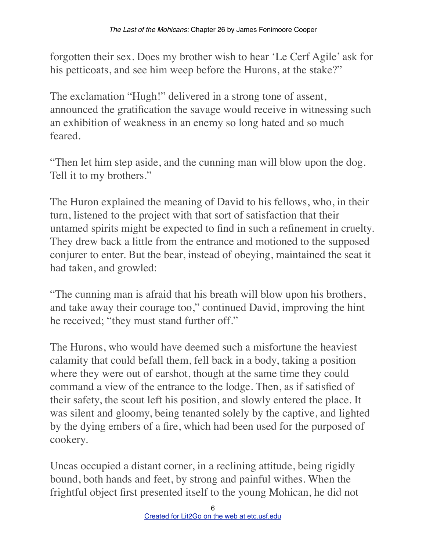forgotten their sex. Does my brother wish to hear 'Le Cerf Agile' ask for his petticoats, and see him weep before the Hurons, at the stake?"

The exclamation "Hugh!" delivered in a strong tone of assent, announced the gratification the savage would receive in witnessing such an exhibition of weakness in an enemy so long hated and so much feared.

"Then let him step aside, and the cunning man will blow upon the dog. Tell it to my brothers."

The Huron explained the meaning of David to his fellows, who, in their turn, listened to the project with that sort of satisfaction that their untamed spirits might be expected to find in such a refinement in cruelty. They drew back a little from the entrance and motioned to the supposed conjurer to enter. But the bear, instead of obeying, maintained the seat it had taken, and growled:

"The cunning man is afraid that his breath will blow upon his brothers, and take away their courage too," continued David, improving the hint he received; "they must stand further off."

The Hurons, who would have deemed such a misfortune the heaviest calamity that could befall them, fell back in a body, taking a position where they were out of earshot, though at the same time they could command a view of the entrance to the lodge. Then, as if satisfied of their safety, the scout left his position, and slowly entered the place. It was silent and gloomy, being tenanted solely by the captive, and lighted by the dying embers of a fire, which had been used for the purposed of cookery.

Uncas occupied a distant corner, in a reclining attitude, being rigidly bound, both hands and feet, by strong and painful withes. When the frightful object first presented itself to the young Mohican, he did not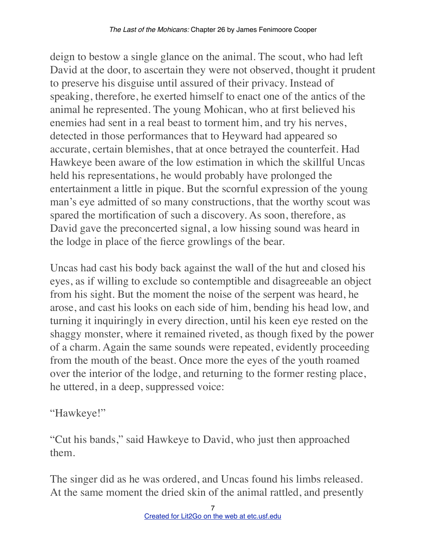deign to bestow a single glance on the animal. The scout, who had left David at the door, to ascertain they were not observed, thought it prudent to preserve his disguise until assured of their privacy. Instead of speaking, therefore, he exerted himself to enact one of the antics of the animal he represented. The young Mohican, who at first believed his enemies had sent in a real beast to torment him, and try his nerves, detected in those performances that to Heyward had appeared so accurate, certain blemishes, that at once betrayed the counterfeit. Had Hawkeye been aware of the low estimation in which the skillful Uncas held his representations, he would probably have prolonged the entertainment a little in pique. But the scornful expression of the young man's eye admitted of so many constructions, that the worthy scout was spared the mortification of such a discovery. As soon, therefore, as David gave the preconcerted signal, a low hissing sound was heard in the lodge in place of the fierce growlings of the bear.

Uncas had cast his body back against the wall of the hut and closed his eyes, as if willing to exclude so contemptible and disagreeable an object from his sight. But the moment the noise of the serpent was heard, he arose, and cast his looks on each side of him, bending his head low, and turning it inquiringly in every direction, until his keen eye rested on the shaggy monster, where it remained riveted, as though fixed by the power of a charm. Again the same sounds were repeated, evidently proceeding from the mouth of the beast. Once more the eyes of the youth roamed over the interior of the lodge, and returning to the former resting place, he uttered, in a deep, suppressed voice:

## "Hawkeye!"

"Cut his bands," said Hawkeye to David, who just then approached them.

The singer did as he was ordered, and Uncas found his limbs released. At the same moment the dried skin of the animal rattled, and presently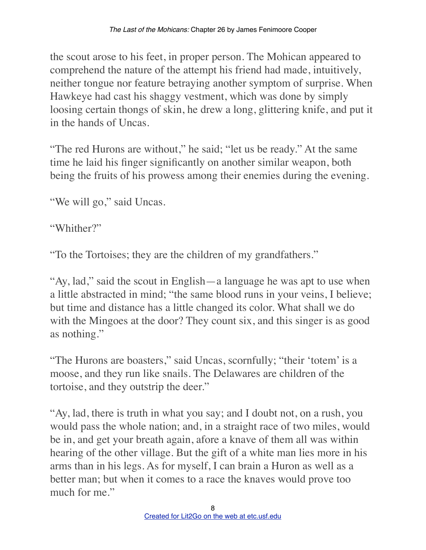the scout arose to his feet, in proper person. The Mohican appeared to comprehend the nature of the attempt his friend had made, intuitively, neither tongue nor feature betraying another symptom of surprise. When Hawkeye had cast his shaggy vestment, which was done by simply loosing certain thongs of skin, he drew a long, glittering knife, and put it in the hands of Uncas.

"The red Hurons are without," he said; "let us be ready." At the same time he laid his finger significantly on another similar weapon, both being the fruits of his prowess among their enemies during the evening.

"We will go," said Uncas.

"Whither?"

"To the Tortoises; they are the children of my grandfathers."

"Ay, lad," said the scout in English—a language he was apt to use when a little abstracted in mind; "the same blood runs in your veins, I believe; but time and distance has a little changed its color. What shall we do with the Mingoes at the door? They count six, and this singer is as good as nothing."

"The Hurons are boasters," said Uncas, scornfully; "their 'totem' is a moose, and they run like snails. The Delawares are children of the tortoise, and they outstrip the deer."

"Ay, lad, there is truth in what you say; and I doubt not, on a rush, you would pass the whole nation; and, in a straight race of two miles, would be in, and get your breath again, afore a knave of them all was within hearing of the other village. But the gift of a white man lies more in his arms than in his legs. As for myself, I can brain a Huron as well as a better man; but when it comes to a race the knaves would prove too much for me."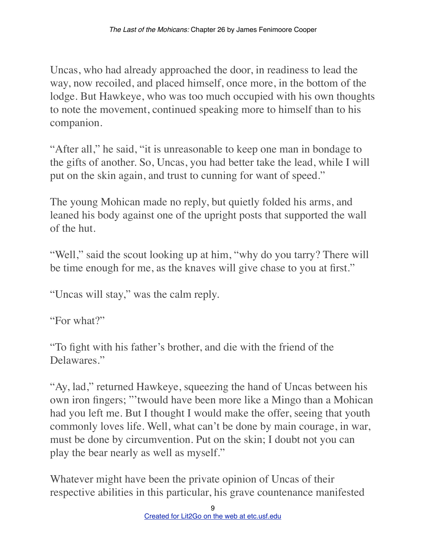Uncas, who had already approached the door, in readiness to lead the way, now recoiled, and placed himself, once more, in the bottom of the lodge. But Hawkeye, who was too much occupied with his own thoughts to note the movement, continued speaking more to himself than to his companion.

"After all," he said, "it is unreasonable to keep one man in bondage to the gifts of another. So, Uncas, you had better take the lead, while I will put on the skin again, and trust to cunning for want of speed."

The young Mohican made no reply, but quietly folded his arms, and leaned his body against one of the upright posts that supported the wall of the hut.

"Well," said the scout looking up at him, "why do you tarry? There will be time enough for me, as the knaves will give chase to you at first."

"Uncas will stay," was the calm reply.

"For what?"

"To fight with his father's brother, and die with the friend of the Delawares."

"Ay, lad," returned Hawkeye, squeezing the hand of Uncas between his own iron fingers; "'twould have been more like a Mingo than a Mohican had you left me. But I thought I would make the offer, seeing that youth commonly loves life. Well, what can't be done by main courage, in war, must be done by circumvention. Put on the skin; I doubt not you can play the bear nearly as well as myself."

Whatever might have been the private opinion of Uncas of their respective abilities in this particular, his grave countenance manifested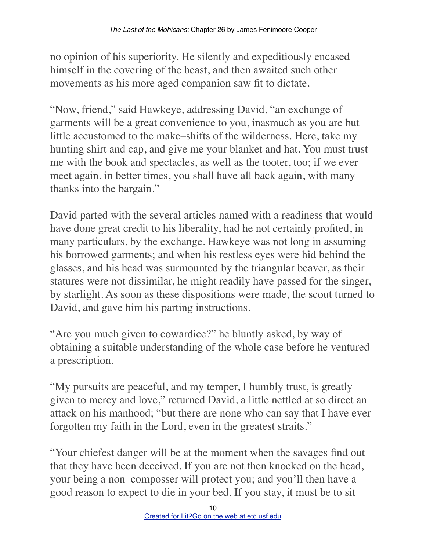no opinion of his superiority. He silently and expeditiously encased himself in the covering of the beast, and then awaited such other movements as his more aged companion saw fit to dictate.

"Now, friend," said Hawkeye, addressing David, "an exchange of garments will be a great convenience to you, inasmuch as you are but little accustomed to the make–shifts of the wilderness. Here, take my hunting shirt and cap, and give me your blanket and hat. You must trust me with the book and spectacles, as well as the tooter, too; if we ever meet again, in better times, you shall have all back again, with many thanks into the bargain."

David parted with the several articles named with a readiness that would have done great credit to his liberality, had he not certainly profited, in many particulars, by the exchange. Hawkeye was not long in assuming his borrowed garments; and when his restless eyes were hid behind the glasses, and his head was surmounted by the triangular beaver, as their statures were not dissimilar, he might readily have passed for the singer, by starlight. As soon as these dispositions were made, the scout turned to David, and gave him his parting instructions.

"Are you much given to cowardice?" he bluntly asked, by way of obtaining a suitable understanding of the whole case before he ventured a prescription.

"My pursuits are peaceful, and my temper, I humbly trust, is greatly given to mercy and love," returned David, a little nettled at so direct an attack on his manhood; "but there are none who can say that I have ever forgotten my faith in the Lord, even in the greatest straits."

"Your chiefest danger will be at the moment when the savages find out that they have been deceived. If you are not then knocked on the head, your being a non–composser will protect you; and you'll then have a good reason to expect to die in your bed. If you stay, it must be to sit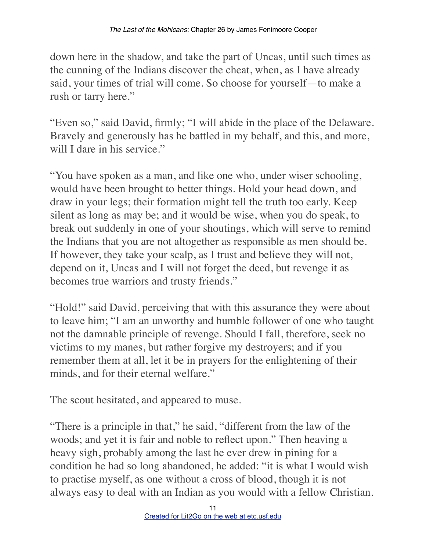down here in the shadow, and take the part of Uncas, until such times as the cunning of the Indians discover the cheat, when, as I have already said, your times of trial will come. So choose for yourself—to make a rush or tarry here."

"Even so," said David, firmly; "I will abide in the place of the Delaware. Bravely and generously has he battled in my behalf, and this, and more, will I dare in his service."

"You have spoken as a man, and like one who, under wiser schooling, would have been brought to better things. Hold your head down, and draw in your legs; their formation might tell the truth too early. Keep silent as long as may be; and it would be wise, when you do speak, to break out suddenly in one of your shoutings, which will serve to remind the Indians that you are not altogether as responsible as men should be. If however, they take your scalp, as I trust and believe they will not, depend on it, Uncas and I will not forget the deed, but revenge it as becomes true warriors and trusty friends."

"Hold!" said David, perceiving that with this assurance they were about to leave him; "I am an unworthy and humble follower of one who taught not the damnable principle of revenge. Should I fall, therefore, seek no victims to my manes, but rather forgive my destroyers; and if you remember them at all, let it be in prayers for the enlightening of their minds, and for their eternal welfare."

The scout hesitated, and appeared to muse.

"There is a principle in that," he said, "different from the law of the woods; and yet it is fair and noble to reflect upon." Then heaving a heavy sigh, probably among the last he ever drew in pining for a condition he had so long abandoned, he added: "it is what I would wish to practise myself, as one without a cross of blood, though it is not always easy to deal with an Indian as you would with a fellow Christian.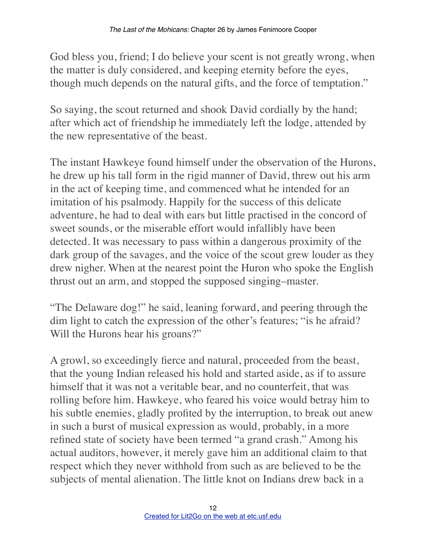God bless you, friend; I do believe your scent is not greatly wrong, when the matter is duly considered, and keeping eternity before the eyes, though much depends on the natural gifts, and the force of temptation."

So saying, the scout returned and shook David cordially by the hand; after which act of friendship he immediately left the lodge, attended by the new representative of the beast.

The instant Hawkeye found himself under the observation of the Hurons, he drew up his tall form in the rigid manner of David, threw out his arm in the act of keeping time, and commenced what he intended for an imitation of his psalmody. Happily for the success of this delicate adventure, he had to deal with ears but little practised in the concord of sweet sounds, or the miserable effort would infallibly have been detected. It was necessary to pass within a dangerous proximity of the dark group of the savages, and the voice of the scout grew louder as they drew nigher. When at the nearest point the Huron who spoke the English thrust out an arm, and stopped the supposed singing–master.

"The Delaware dog!" he said, leaning forward, and peering through the dim light to catch the expression of the other's features; "is he afraid? Will the Hurons hear his groans?"

A growl, so exceedingly fierce and natural, proceeded from the beast, that the young Indian released his hold and started aside, as if to assure himself that it was not a veritable bear, and no counterfeit, that was rolling before him. Hawkeye, who feared his voice would betray him to his subtle enemies, gladly profited by the interruption, to break out anew in such a burst of musical expression as would, probably, in a more refined state of society have been termed "a grand crash." Among his actual auditors, however, it merely gave him an additional claim to that respect which they never withhold from such as are believed to be the subjects of mental alienation. The little knot on Indians drew back in a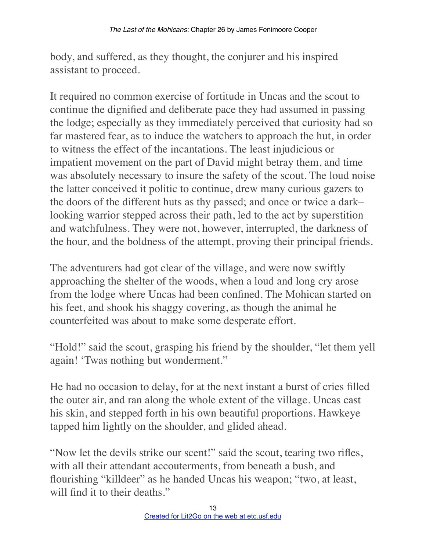body, and suffered, as they thought, the conjurer and his inspired assistant to proceed.

It required no common exercise of fortitude in Uncas and the scout to continue the dignified and deliberate pace they had assumed in passing the lodge; especially as they immediately perceived that curiosity had so far mastered fear, as to induce the watchers to approach the hut, in order to witness the effect of the incantations. The least injudicious or impatient movement on the part of David might betray them, and time was absolutely necessary to insure the safety of the scout. The loud noise the latter conceived it politic to continue, drew many curious gazers to the doors of the different huts as thy passed; and once or twice a dark– looking warrior stepped across their path, led to the act by superstition and watchfulness. They were not, however, interrupted, the darkness of the hour, and the boldness of the attempt, proving their principal friends.

The adventurers had got clear of the village, and were now swiftly approaching the shelter of the woods, when a loud and long cry arose from the lodge where Uncas had been confined. The Mohican started on his feet, and shook his shaggy covering, as though the animal he counterfeited was about to make some desperate effort.

"Hold!" said the scout, grasping his friend by the shoulder, "let them yell again! 'Twas nothing but wonderment."

He had no occasion to delay, for at the next instant a burst of cries filled the outer air, and ran along the whole extent of the village. Uncas cast his skin, and stepped forth in his own beautiful proportions. Hawkeye tapped him lightly on the shoulder, and glided ahead.

"Now let the devils strike our scent!" said the scout, tearing two rifles, with all their attendant accouterments, from beneath a bush, and flourishing "killdeer" as he handed Uncas his weapon; "two, at least, will find it to their deaths."